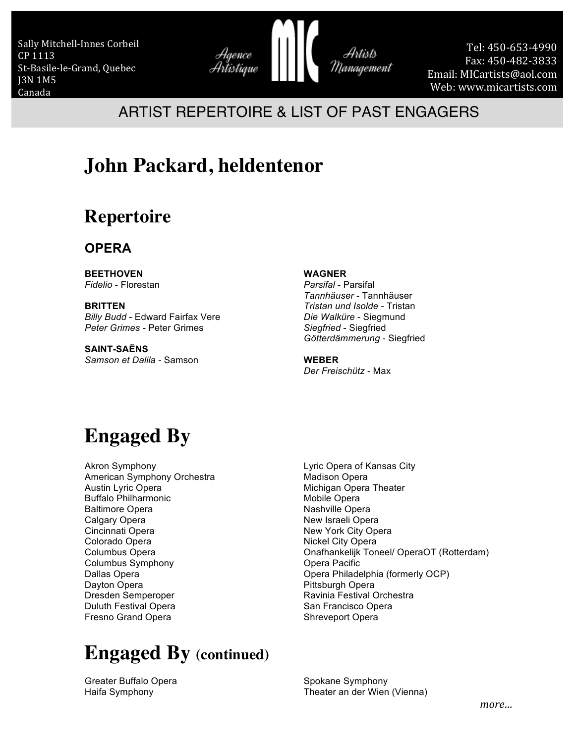Sally Mitchell-Innes Corbeil CP 1113 St-Basile-le-Grand, Quebec J3N 1M5 Canada



Tel: 450-653-4990 Fax: 450-482-3833 Email: MICartists@aol.com Web: www.micartists.com

#### ARTIST REPERTOIRE & LIST OF PAST ENGAGERS

## **John Packard, heldentenor**

### **Repertoire**

#### **OPERA**

**BEETHOVEN** *Fidelio* - Florestan

**BRITTEN** *Billy Budd* - Edward Fairfax Vere *Peter Grimes* - Peter Grimes

**SAINT-SAËNS** *Samson et Dalila* - Samson **WAGNER**

*Parsifal* - Parsifal *Tannhäuser* - Tannhäuser *Tristan und Isolde* - Tristan *Die Walküre* - Siegmund *Siegfried* - Siegfried *Götterdämmerung* - Siegfried

**WEBER** *Der Freischütz* - Max

## **Engaged By**

Akron Symphony American Symphony Orchestra Austin Lyric Opera Buffalo Philharmonic Baltimore Opera Calgary Opera Cincinnati Opera Colorado Opera Columbus Opera Columbus Symphony Dallas Opera Dayton Opera Dresden Semperoper Duluth Festival Opera Fresno Grand Opera

# **Engaged By (continued)**

Greater Buffalo Opera Haifa Symphony

Lyric Opera of Kansas City Madison Opera Michigan Opera Theater Mobile Opera Nashville Opera New Israeli Opera New York City Opera Nickel City Opera Onafhankelijk Toneel/ OperaOT (Rotterdam) Opera Pacific Opera Philadelphia (formerly OCP) Pittsburgh Opera Ravinia Festival Orchestra San Francisco Opera Shreveport Opera

Spokane Symphony Theater an der Wien (Vienna)